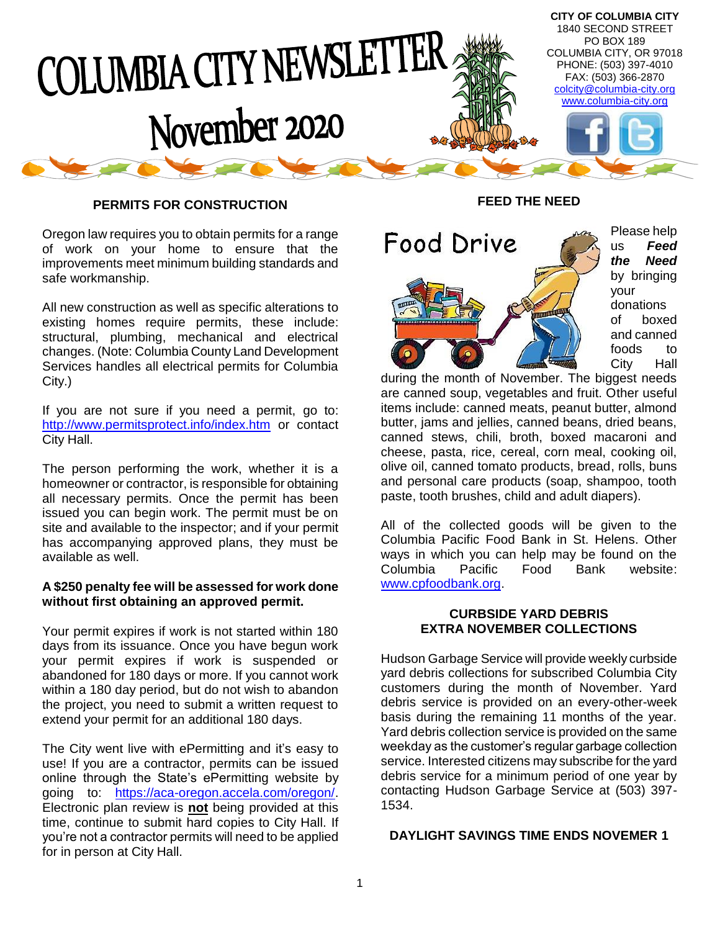

#### **PERMITS FOR CONSTRUCTION**

Oregon law requires you to obtain permits for a range of work on your home to ensure that the improvements meet minimum building standards and safe workmanship.

All new construction as well as specific alterations to existing homes require permits, these include: structural, plumbing, mechanical and electrical changes. (Note: Columbia County Land Development Services handles all electrical permits for Columbia City.)

If you are not sure if you need a permit, go to: <http://www.permitsprotect.info/index.htm> or contact City Hall.

The person performing the work, whether it is a homeowner or contractor, is responsible for obtaining all necessary permits. Once the permit has been issued you can begin work. The permit must be on site and available to the inspector; and if your permit has accompanying approved plans, they must be available as well.

#### **A \$250 penalty fee will be assessed for work done without first obtaining an approved permit.**

Your permit expires if work is not started within 180 days from its issuance. Once you have begun work your permit expires if work is suspended or abandoned for 180 days or more. If you cannot work within a 180 day period, but do not wish to abandon the project, you need to submit a written request to extend your permit for an additional 180 days.

The City went live with ePermitting and it's easy to use! If you are a contractor, permits can be issued online through the State's ePermitting website by going to: [https://aca-oregon.accela.com/oregon/.](https://aca-oregon.accela.com/oregon/) Electronic plan review is **not** being provided at this time, continue to submit hard copies to City Hall. If you're not a contractor permits will need to be applied for in person at City Hall.

## **FEED THE NEED**



during the month of November. The biggest needs are canned soup, vegetables and fruit. Other useful items include: canned meats, peanut butter, almond butter, jams and jellies, canned beans, dried beans, canned stews, chili, broth, boxed macaroni and cheese, pasta, rice, cereal, corn meal, cooking oil, olive oil, canned tomato products, bread, rolls, buns and personal care products (soap, shampoo, tooth paste, tooth brushes, child and adult diapers).

All of the collected goods will be given to the Columbia Pacific Food Bank in St. Helens. Other ways in which you can help may be found on the Columbia Pacific Food Bank website: [www.cpfoodbank.org.](http://www.cpfoodbank.org/)

#### **CURBSIDE YARD DEBRIS EXTRA NOVEMBER COLLECTIONS**

Hudson Garbage Service will provide weekly curbside yard debris collections for subscribed Columbia City customers during the month of November. Yard debris service is provided on an every-other-week basis during the remaining 11 months of the year. Yard debris collection service is provided on the same weekday as the customer's regular garbage collection service. Interested citizens may subscribe for the yard debris service for a minimum period of one year by contacting Hudson Garbage Service at (503) 397- 1534.

#### **DAYLIGHT SAVINGS TIME ENDS NOVEMER 1**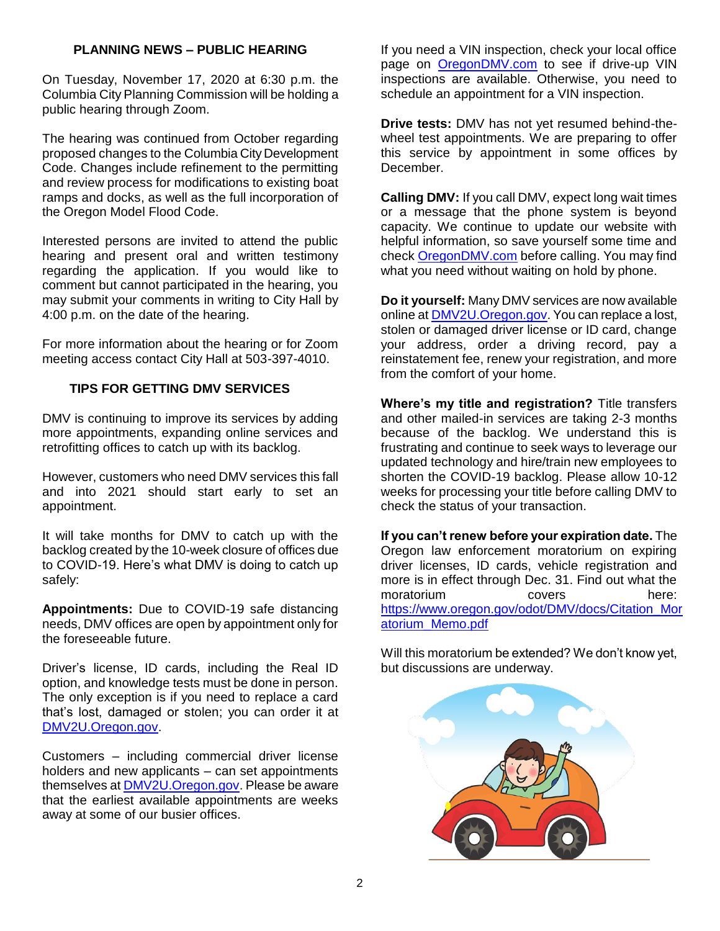## **PLANNING NEWS – PUBLIC HEARING**

On Tuesday, November 17, 2020 at 6:30 p.m. the Columbia City Planning Commission will be holding a public hearing through Zoom.

The hearing was continued from October regarding proposed changes to the Columbia City Development Code. Changes include refinement to the permitting and review process for modifications to existing boat ramps and docks, as well as the full incorporation of the Oregon Model Flood Code.

Interested persons are invited to attend the public hearing and present oral and written testimony regarding the application. If you would like to comment but cannot participated in the hearing, you may submit your comments in writing to City Hall by 4:00 p.m. on the date of the hearing.

For more information about the hearing or for Zoom meeting access contact City Hall at 503-397-4010.

## **TIPS FOR GETTING DMV SERVICES**

DMV is continuing to improve its services by adding more appointments, expanding online services and retrofitting offices to catch up with its backlog.

However, customers who need DMV services this fall and into 2021 should start early to set an appointment.

It will take months for DMV to catch up with the backlog created by the 10-week closure of offices due to COVID-19. Here's what DMV is doing to catch up safely:

**Appointments:** Due to COVID-19 safe distancing needs, DMV offices are open by appointment only for the foreseeable future.

Driver's license, ID cards, including the Real ID option, and knowledge tests must be done in person. The only exception is if you need to replace a card that's lost, damaged or stolen; you can order it at [DMV2U.Oregon.gov.](https://dmv2u.oregon.gov/eServices/_/)

Customers – including commercial driver license holders and new applicants – can set appointments themselves at [DMV2U.Oregon.gov.](https://dmv2u.oregon.gov/eServices/_/) Please be aware that the earliest available appointments are weeks away at some of our busier offices.

If you need a VIN inspection, check your local office page on [OregonDMV.com](https://www.oregon.gov/ODOT/DMV/Pages/index.aspx) to see if drive-up VIN inspections are available. Otherwise, you need to schedule an appointment for a VIN inspection.

**Drive tests:** DMV has not yet resumed behind-thewheel test appointments. We are preparing to offer this service by appointment in some offices by December.

**Calling DMV:** If you call DMV, expect long wait times or a message that the phone system is beyond capacity. We continue to update our website with helpful information, so save yourself some time and check [OregonDMV.com](https://www.oregon.gov/ODOT/DMV/Pages/index.aspx) before calling. You may find what you need without waiting on hold by phone.

**Do it yourself:** Many DMV services are now available online at [DMV2U.Oregon.gov.](https://dmv2u.oregon.gov/eServices/_/) You can replace a lost, stolen or damaged driver license or ID card, change your address, order a driving record, pay a reinstatement fee, renew your registration, and more from the comfort of your home.

**Where's my title and registration?** Title transfers and other mailed-in services are taking 2-3 months because of the backlog. We understand this is frustrating and continue to seek ways to leverage our updated technology and hire/train new employees to shorten the COVID-19 backlog. Please allow 10-12 weeks for processing your title before calling DMV to check the status of your transaction.

**If you can't renew before your expiration date.** The Oregon law enforcement moratorium on expiring driver licenses, ID cards, vehicle registration and more is in effect through Dec. 31. Find out what the moratorium covers here: [https://www.oregon.gov/odot/DMV/docs/Citation\\_Mor](https://www.oregon.gov/odot/DMV/docs/Citation_Moratorium_Memo.pdf) [atorium\\_Memo.pdf](https://www.oregon.gov/odot/DMV/docs/Citation_Moratorium_Memo.pdf)

Will this moratorium be extended? We don't know yet, but discussions are underway.

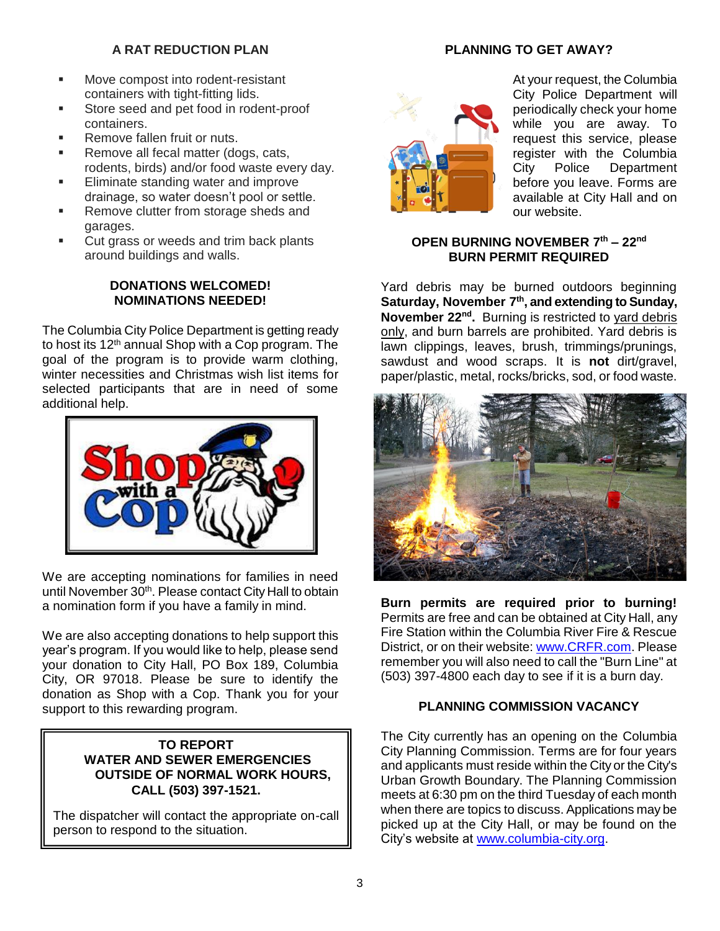# **A RAT REDUCTION PLAN**

- Move compost into rodent-resistant containers with tight-fitting lids.
- Store seed and pet food in rodent-proof containers.
- Remove fallen fruit or nuts.
- Remove all fecal matter (dogs, cats, rodents, birds) and/or food waste every day.
- Eliminate standing water and improve drainage, so water doesn't pool or settle.
- Remove clutter from storage sheds and garages.
- Cut grass or weeds and trim back plants around buildings and walls.

## **DONATIONS WELCOMED! NOMINATIONS NEEDED!**

The Columbia City Police Department is getting ready to host its 12<sup>th</sup> annual Shop with a Cop program. The goal of the program is to provide warm clothing, winter necessities and Christmas wish list items for selected participants that are in need of some additional help.



We are accepting nominations for families in need until November 30<sup>th</sup>. Please contact City Hall to obtain a nomination form if you have a family in mind.

We are also accepting donations to help support this year's program. If you would like to help, please send your donation to City Hall, PO Box 189, Columbia City, OR 97018. Please be sure to identify the donation as Shop with a Cop. Thank you for your support to this rewarding program.

## **TO REPORT WATER AND SEWER EMERGENCIES OUTSIDE OF NORMAL WORK HOURS, CALL (503) 397-1521.**

The dispatcher will contact the appropriate on-call person to respond to the situation.

## **PLANNING TO GET AWAY?**



At your request, the Columbia City Police Department will periodically check your home while you are away. To request this service, please register with the Columbia City Police Department before you leave. Forms are available at City Hall and on our website.

## **OPEN BURNING NOVEMBER 7 th – 22nd BURN PERMIT REQUIRED**

Yard debris may be burned outdoors beginning **Saturday, November 7 th, and extending to Sunday, November 22nd .** Burning is restricted to yard debris only, and burn barrels are prohibited. Yard debris is lawn clippings, leaves, brush, trimmings/prunings, sawdust and wood scraps. It is **not** dirt/gravel, paper/plastic, metal, rocks/bricks, sod, or food waste.



**Burn permits are required prior to burning!** Permits are free and can be obtained at City Hall, any Fire Station within the Columbia River Fire & Rescue District, or on their website: [www.CRFR.com.](http://www.crfr.com/) Please remember you will also need to call the "Burn Line" at (503) 397-4800 each day to see if it is a burn day.

# **PLANNING COMMISSION VACANCY**

The City currently has an opening on the Columbia City Planning Commission. Terms are for four years and applicants must reside within the City or the City's Urban Growth Boundary. The Planning Commission meets at 6:30 pm on the third Tuesday of each month when there are topics to discuss. Applications may be picked up at the City Hall, or may be found on the City's website at [www.columbia-city.org.](http://www.columbia-city.org/)